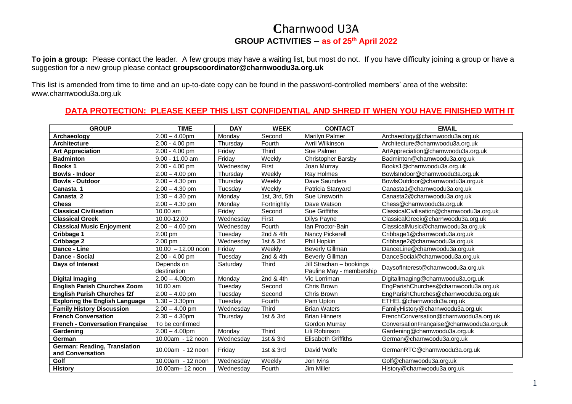## Charnwood U3A **GROUP ACTIVITIES – as of 25th April 2022**

**To join a group:** Please contact the leader. A few groups may have a waiting list, but most do not. If you have difficulty joining a group or have a suggestion for a new group please contact **[groupscoordinator@charnwoodu3a.org.uk](mailto:groupscoordinator@charnwoodu3a.org.uk)**

This list is amended from time to time and an up-to-date copy can be found in the password-controlled members' area of the website: [www.charnwoodu3a.org.uk](http://www.charnwoodu3a.org.uk/)

## **DATA PROTECTION: PLEASE KEEP THIS LIST CONFIDENTIAL AND SHRED IT WHEN YOU HAVE FINISHED WITH IT**

| <b>GROUP</b>                                            | <b>TIME</b>               | <b>DAY</b> | <b>WEEK</b>   | <b>CONTACT</b>                                       | <b>EMAIL</b>                              |
|---------------------------------------------------------|---------------------------|------------|---------------|------------------------------------------------------|-------------------------------------------|
| Archaeology                                             | $2.00 - 4.00$ pm          | Monday     | Second        | Marilyn Palmer                                       | Archaeology@charnwoodu3a.org.uk           |
| <b>Architecture</b>                                     | 2.00 - 4.00 pm            | Thursday   | Fourth        | Avril Wilkinson                                      | Architecture@charnwoodu3a.org.uk          |
| <b>Art Appreciation</b>                                 | $2.00 - 4.00$ pm          | Friday     | Third         | Sue Palmer                                           | ArtAppreciation@charnwoodu3a.org.uk       |
| <b>Badminton</b>                                        | $9.00 - 11.00$ am         | Friday     | Weekly        | <b>Christopher Barsby</b>                            | Badminton@charnwoodu3a.org.uk             |
| <b>Books1</b>                                           | 2.00 - 4.00 pm            | Wednesday  | First         | Joan Murray                                          | Books1@charnwoodu3a.org.uk                |
| <b>Bowls - Indoor</b>                                   | $2.00 - 4.00$ pm          | Thursday   | Weekly        | Ray Holmes                                           | BowlsIndoor@charnwoodu3a.org.uk           |
| <b>Bowls - Outdoor</b>                                  | $2.00 - 4.30$ pm          | Thursday   | Weekly        | Dave Saunders                                        | BowlsOutdoor@charnwoodu3a.org.uk          |
| Canasta 1                                               | $2.00 - 4.30$ pm          | Tuesday    | Weekly        | Patricia Stanyard                                    | Canasta1@charnwoodu3a.org.uk              |
| Canasta <sub>2</sub>                                    | $1:30 - 4.30$ pm          | Monday     | 1st, 3rd, 5th | Sue Unsworth                                         | Canasta2@charnwoodu3a.org.uk              |
| <b>Chess</b>                                            | $2.00 - 4.30$ pm          | Monday     | Fortnightly   | Dave Watson                                          | Chess@charnwoodu3a.org.uk                 |
| <b>Classical Civilisation</b>                           | 10.00 am                  | Friday     | Second        | Sue Griffiths                                        | ClassicalCivilisation@charnwoodu3a.org.uk |
| <b>Classical Greek</b>                                  | 10.00-12.00               | Wednesday  | First         | Dilys Payne                                          | ClassicalGreek@charnwoodu3a.org.uk        |
| <b>Classical Music Enjoyment</b>                        | $2.00 - 4.00$ pm          | Wednesday  | Fourth        | Ian Proctor-Bain                                     | ClassicalMusic@charnwoodu3a.org.uk        |
| Cribbage 1                                              | 2.00 pm                   | Tuesday    | 2nd & 4th     | Nancy Pickerell                                      | Cribbage1@charnwoodu3a.org.uk             |
| Cribbage 2                                              | 2.00 pm                   | Wednesday  | 1st & 3rd     | Phil Hopkin                                          | Cribbage2@charnwoodu3a.org.uk             |
| Dance - Line                                            | $10.00 - 12.00$ noon      | Fridav     | Weekly        | <b>Beverly Gillman</b>                               | DanceLine@charnwoodu3a.org.uk             |
| Dance - Social                                          | $2.00 - 4.00$ pm          | Tuesday    | 2nd & 4th     | <b>Beverly Gillman</b>                               | DanceSocial@charnwoodu3a.org.uk           |
| Days of Interest                                        | Depends on<br>destination | Saturday   | <b>Third</b>  | Jill Strachan - bookings<br>Pauline May - membership | DaysofInterest@charnwoodu3a.org.uk        |
| <b>Digital Imaging</b>                                  | $2.00 - 4.00$ pm          | Monday     | 2nd & 4th     | Vic Lorriman                                         | DigitalImaging@charnwoodu3a.org.uk        |
| <b>English Parish Churches Zoom</b>                     | 10.00 am                  | Tuesday    | Second        | Chris Brown                                          | EngParishChurches@charnwoodu3a.org.uk     |
| <b>English Parish Churches f2f</b>                      | $2.00 - 4.00$ pm          | Tuesday    | Second        | Chris Brown                                          | EngParishChurches@charnwoodu3a.org.uk     |
| <b>Exploring the English Language</b>                   | $1.30 - 3.30$ pm          | Tuesday    | Fourth        | Pam Upton                                            | ETHEL@charnwoodu3a.org.uk                 |
| <b>Family History Discussion</b>                        | $2.00 - 4.00$ pm          | Wednesday  | Third         | <b>Brian Waters</b>                                  | FamilyHistory@charnwoodu3a.org.uk         |
| <b>French Conversation</b>                              | $2.30 - 4.30$ pm          | Thursday   | 1st & 3rd     | <b>Brian Hinners</b>                                 | FrenchConversation@charnwoodu3a.org.uk    |
| <b>French - Conversation Française</b>                  | To be confirmed           |            |               | Gordon Murray                                        | ConversationFrançaise@charnwoodu3a.org.uk |
| Gardening                                               | $2.00 - 4.00$ pm          | Monday     | Third         | Lili Robinson                                        | Gardening@charnwoodu3a.org.uk             |
| German                                                  | 10.00am - 12 noon         | Wednesday  | 1st & 3rd     | <b>Elisabeth Griffiths</b>                           | German@charnwoodu3a.org.uk                |
| <b>German: Reading, Translation</b><br>and Conversation | 10.00am - 12 noon         | Friday     | 1st & 3rd     | David Wolfe                                          | GermanRTC@charnwoodu3a.org.uk             |
| Golf                                                    | $10.00am - 12 noon$       | Wednesday  | Weekly        | Jon Ivins                                            | Golf@charnwoodu3a.org.uk                  |
| <b>History</b>                                          | 10.00am-12 noon           | Wednesday  | Fourth        | Jim Miller                                           | History@charnwoodu3a.org.uk               |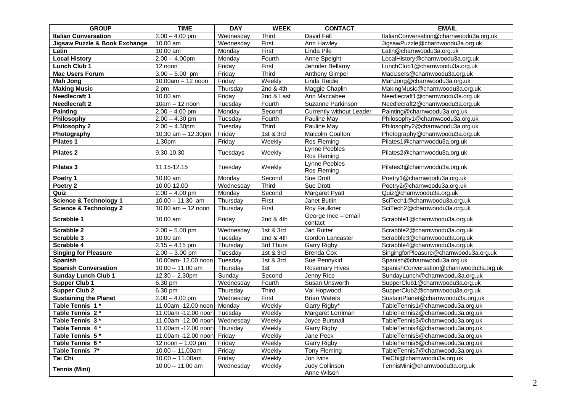| <b>GROUP</b>                      | <b>TIME</b>                                | <b>DAY</b> | <b>WEEK</b> | <b>CONTACT</b>                       | <b>EMAIL</b>                            |
|-----------------------------------|--------------------------------------------|------------|-------------|--------------------------------------|-----------------------------------------|
| <b>Italian Conversation</b>       | $2.00 - 4.00$ pm                           | Wednesday  | Third       | David Fell                           | ItalianConversation@charnwoodu3a.org.uk |
| Jigsaw Puzzle & Book Exchange     | 10.00 am                                   | Wednesday  | First       | Ann Hawley                           | JigsawPuzzle@charnwoodu3a.org.uk        |
| Latin                             | 10.00 am                                   | Monday     | First       | Linda Pile                           | Latin@charnwoodu3a.org.uk               |
| <b>Local History</b>              | $2.00 - 4.00$ pm                           | Monday     | Fourth      | Anne Speight                         | LocalHistory@charnwoodu3a.org.uk        |
| <b>Lunch Club 1</b>               | 12 noon                                    | Friday     | First       | Jennifer Bellamy                     | LunchClub1@charnwoodu3a.org.uk          |
| <b>Mac Users Forum</b>            | $3.00 - 5.00$ pm                           | Friday     | Third       | <b>Anthony Gimpel</b>                | MacUsers@charnwoodu3a.org.uk            |
| <b>Mah Jong</b>                   | 10.00am - 12 noon                          | Friday     | Weekly      | Linda Reidie                         | MahJong@charnwoodu3a.org.uk             |
| <b>Making Music</b>               | 2 pm                                       | Thursday   | 2nd & 4th   | Maggie Chaplin                       | MakingMusic@charnwoodu3a.org.uk         |
| Needlecraft 1                     | 10.00 am                                   | Friday     | 2nd & Last  | Ann Maccabee                         | Needlecraft1@charnwoodu3a.org.uk        |
| <b>Needlecraft 2</b>              | $10am - 12 noon$                           | Tuesday    | Fourth      | Suzanne Parkinson                    | Needlecraft2@charnwoodu3a.org.uk        |
| <b>Painting</b>                   | $2.00 - 4.00$ pm                           | Monday     | Second      | <b>Currently without Leader</b>      | Painting@charnwoodu3a.org.uk            |
| Philosophy                        | $2.00 - 4.30$ pm                           | Tuesday    | Fourth      | Pauline May                          | Philosophy1@charnwoodu3a.org.uk         |
| <b>Philosophy 2</b>               | $2.00 - 4.30$ pm                           | Tuesday    | Third       | Pauline May                          | Philosophy2@charnwoodu3a.org.uk         |
| Photography                       | 10.30 $am - 12.30pm$                       | Friday     | 1st & 3rd   | <b>Malcolm Coulton</b>               | Photography@charnwoodu3a.org.uk         |
| Pilates 1                         | 1.30pm                                     | Friday     | Weekly      | Ros Fleming                          | Pilates1@charnwoodu3a.org.uk            |
| Pilates 2                         | 9.30-10.30                                 | Tuesdays   | Weekly      | Lynne Peebles<br>Ros Fleming         | Pilates2@charnwoodu3a.org.uk            |
| <b>Pilates 3</b>                  | 11.15-12.15                                | Tuesday    | Weekly      | Lynne Peebles<br>Ros Fleming         | Pilates3@charnwoodu3a.org.uk            |
| Poetry 1                          | 10.00 am                                   | Monday     | Second      | <b>Sue Drott</b>                     | Poetry1@charnwoodu3a.org.uk             |
| Poetry 2                          | 10.00-12.00                                | Wednesday  | Third       | <b>Sue Drott</b>                     | Poetry2@charnwoodu3a.org.uk             |
| Quiz                              | $2.00 - 4.00$ pm                           | Monday     | Second      | <b>Margaret Pyatt</b>                | Quiz@charnwoodu3a.org.uk                |
| <b>Science &amp; Technology 1</b> | $10.00 - 11.30$ am                         | Thursday   | First       | Janet Butlin                         | SciTech1@charnwoodu3a.org.uk            |
| <b>Science &amp; Technology 2</b> | 10.00 am - 12 noon                         | Thursday   | First       | Roy Faulkner                         | SciTech2@charnwoodu3a.org.uk            |
| Scrabble 1                        | 10.00 am                                   | Friday     | 2nd & 4th   | George Ince - email<br>contact       | Scrabble1@charnwoodu3a.org.uk           |
| Scrabble 2                        | $2.00 - 5.00$ pm                           | Wednesday  | 1st & 3rd   | Jan Rutter                           | Scrabble2@charnwoodu3a.org.uk           |
| Scrabble 3                        | 10.00 am                                   | Tuesday    | 2nd & 4th   | Gordon Lancaster                     | Scrabble3@charnwoodu3a.org.uk           |
| Scrabble 4                        | $2.15 - 4.15$ pm                           | Thursday   | 3rd Thurs   | <b>Garry Rigby</b>                   | Scrabble4@charnwoodu3a.org.uk           |
| <b>Singing for Pleasure</b>       | $2.00 - 3.00$ pm                           | Tuesday    | 1st & 3rd   | <b>Brenda Cox</b>                    | SingingforPleasure@charnwoodu3a.org.uk  |
| Spanish                           | 10.00am- 12.00 noon                        | Tuesdav    | 1st & 3rd   | Sue Pennykid                         | Spanish@charnwoodu3a.org.uk             |
| <b>Spanish Conversation</b>       | $10.00 - 11.00$ am                         | Thursday   | 1st         | <b>Rosemary Hives</b>                | SpanishConversation@charnwoodu3a.org.uk |
| <b>Sunday Lunch Club 1</b>        | $12.30 - 2.30$ pm                          | Sunday     | Second      | Jenny Rice                           | SundayLunch@charnwoodu3a.org.uk         |
| <b>Supper Club 1</b>              | 6.30 pm                                    | Wednesday  | Fourth      | Susan Unsworth                       | SupperClub1@charnwoodu3a.org.uk         |
| Supper Club 2                     | 6.30 pm                                    | Thursday   | Third       | Val Hopwood                          | SupperClub2@charnwoodu3a.org.uk         |
| <b>Sustaining the Planet</b>      | $2.00 - 4.00$ pm                           | Wednesday  | First       | <b>Brian Waters</b>                  | SustainPlanet@charnwoodu3a.org,uk       |
| Table Tennis 1*                   | 11.00am -12.00 noon                        | Monday     | Weekly      | Garry Rigby*                         | TableTennis1@charnwoodu3a.org.uk        |
| Table Tennis 2*                   | 11.00am -12.00 noon                        | Tuesday    | Weekly      | Margaret Lorriman                    | TableTennis2@charnwoodu3a.org.uk        |
| Table Tennis 3*                   | 11.00am -12.00 noon                        | Wednesday  | Weekly      | Joyce Bursnall                       | TableTennis3@charnwoodu3a.org.uk        |
| Table Tennis 4*                   | 11.00am -12.00 noon                        | Thursday   | Weekly      | <b>Garry Rigby</b>                   | TableTennis4@charnwoodu3a.org.uk        |
| Table Tennis 5*                   | 11.00am -12.00 noon                        | Friday     | Weekly      | Jane Peck                            | TableTennis5@charnwoodu3a.org.uk        |
| Table Tennis 6 *                  | $12 \overline{$ noon $- 1.00 \overline{p}$ | Friday     | Weekly      | <b>Garry Rigby</b>                   | TableTennis6@charnwoodu3a.org.uk        |
| Table Tennis 7*                   | $10.00 - 11.00$ am                         | Friday     | Weekly      | <b>Tony Fleming</b>                  | TableTennis7@charnwoodu3a.org.uk        |
| Tai Chi                           | $10.00 - 11.00$ am                         | Friday     | Weekly      | Jon Ivins                            | TaiChi@charnwoodu3a.org.uk              |
| <b>Tennis (Mini)</b>              | $10.00 - 11.00$ am                         | Wednesday  | Weekly      | <b>Judy Collinson</b><br>Anne Wilson | TennisMini@charnwoodu3a.org.uk          |